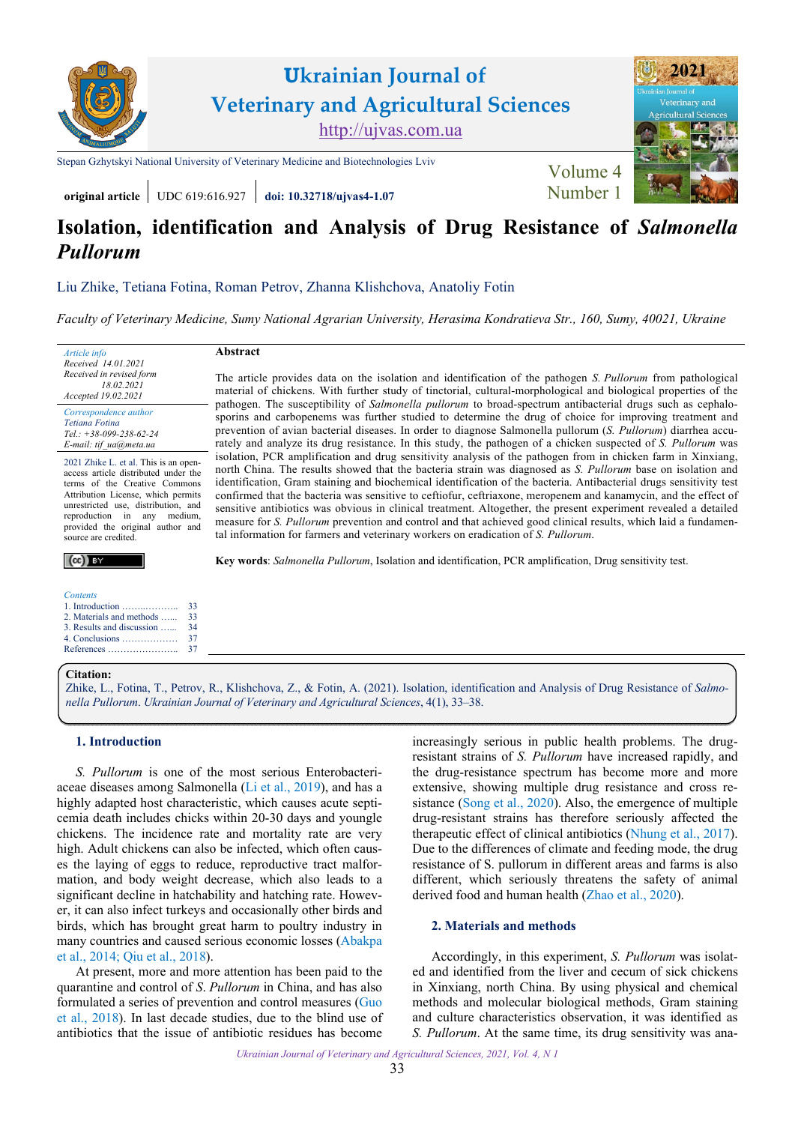

**original article** UDC 619:616.927 **[doi: 10.32718/ujvas4-1.07](https://doi.org/10.32718/ujvas4-1.07)** [Number 1](https://ujvas.com.ua/index.php/journal/issue/view/9)

# **Isolation, identification and Analysis of Drug Resistance of** *Salmonella Pullorum*

[Liu Zhike](https://orcid.org/0000-0003-2892-4005), [Tetiana Fotina,](https://orcid.org/0000-0001-5079-2390) [Roman Petrov](https://orcid.org/0000-0001-6252-7965), [Zhanna Klishchova,](https://orcid.org/0000-0002-4152-9539) [Anatoliy Fotin](https://orcid.org/0000-0001-5703-6467)

*[Faculty of Veterinary Medicine, Sumy National Agrarian University, Herasima Kondratieva Str., 160, Sumy, 40021, Ukraine](https://snau.edu.ua/)* 

The article provides data on the isolation and identification of the pathogen *S. Pullorum* from pathological material of chickens. With further study of tinctorial, cultural-morphological and biological properties of the pathogen. The susceptibility of *Salmonella pullorum* to broad-spectrum antibacterial drugs such as cephalosporins and carbopenems was further studied to determine the drug of choice for improving treatment and prevention of avian bacterial diseases. In order to diagnose Salmonella pullorum (*S. Pullorum*) diarrhea accurately and analyze its drug resistance. In this study, the pathogen of a chicken suspected of *S. Pullorum* was isolation, PCR amplification and drug sensitivity analysis of the pathogen from in chicken farm in Xinxiang, north China. The results showed that the bacteria strain was diagnosed as *S. Pullorum* base on isolation and identification, Gram staining and biochemical identification of the bacteria. Antibacterial drugs sensitivity test confirmed that the bacteria was sensitive to ceftiofur, ceftriaxone, meropenem and kanamycin, and the effect of sensitive antibiotics was obvious in clinical treatment. Altogether, the present experiment revealed a detailed measure for *S. Pullorum* prevention and control and that achieved good clinical results, which laid a fundamen-

# **Abstract**

*Received 14.01.2021 Received in revised form 18.02.2021 Accepted 19.02.2021 Correspondence author [Tetiana Fotina](https://scholar.google.com.ua/citations?hl=uk&user=JGyDKdMAAAAJ)  Tel.: +38-099-238-62-24 E-mail: tif\_ua@meta.ua*

*Article info* 

2021 Zhike L. et al. This is an openaccess article distributed under the terms of the Creative Commons Attribution License, which permits unrestricted use, distribution, and reproduction in any medium, provided the original author and source are credited.

# $(cc)$  BY

*Contents*  1. Introduction ……..……….. 2. Materials and methods …... [3. Results and discussion …...](#page-1-0) [4. Conclusions ………………](#page-4-0) [References …………………..](#page-4-0) 33 33 [34](#page-1-0)  [37](#page-4-0)  [37](#page-4-0) 

#### **Citation:**

[Zhike, L., Fotina, T., Petrov, R., Klishchova, Z., & Fotin, A. \(2021\). Isolation, identification and Analysis of Drug Resistance of](https://doi.org/10.32718/ujvas4-1.07) *Salmonella Pullorum*. *Ukrainian Journal of Veterinary and Agricultural Sciences*, 4(1), 33–38.

tal information for farmers and veterinary workers on eradication of *S. Pullorum*.

**Key words**: *Salmonella Pullorum*, Isolation and identification, PCR amplification, Drug sensitivity test.

#### **1. Introduction**

*S. Pullorum* is one of the most serious Enterobacteriaceae diseases among Salmonella ([Li et al., 2019](#page-4-0)), and has a highly adapted host characteristic, which causes acute septicemia death includes chicks within 20-30 days and youngle chickens. The incidence rate and mortality rate are very high. Adult chickens can also be infected, which often causes the laying of eggs to reduce, reproductive tract malformation, and body weight decrease, which also leads to a significant decline in hatchability and hatching rate. However, it can also infect turkeys and occasionally other birds and birds, which has brought great harm to poultry industry in many countries and caused serious economic losses [\(Abakpa](#page-4-0) [et al., 2014](#page-4-0); [Qiu et al., 2018](#page-4-0)).

At present, more and more attention has been paid to the quarantine and control of *S*. *Pullorum* in China, and has also formulated a series of prevention and control measures [\(Guo](#page-4-0) [et al., 2018\)](#page-4-0). In last decade studies, due to the blind use of antibiotics that the issue of antibiotic residues has become

increasingly serious in public health problems. The drugresistant strains of *S. Pullorum* have increased rapidly, and the drug-resistance spectrum has become more and more extensive, showing multiple drug resistance and cross resistance ([Song et al., 2020\)](#page-4-0). Also, the emergence of multiple drug-resistant strains has therefore seriously affected the therapeutic effect of clinical antibiotics [\(Nhung et al., 2017\)](#page-4-0). Due to the differences of climate and feeding mode, the drug resistance of S. pullorum in different areas and farms is also different, which seriously threatens the safety of animal derived food and human health [\(Zhao et al., 2020\)](#page-5-0).

# **2. Materials and methods**

Accordingly, in this experiment, *S. Pullorum* was isolated and identified from the liver and cecum of sick chickens in Xinxiang, north China. By using physical and chemical methods and molecular biological methods, Gram staining and culture characteristics observation, it was identified as *S. Pullorum*. At the same time, its drug sensitivity was ana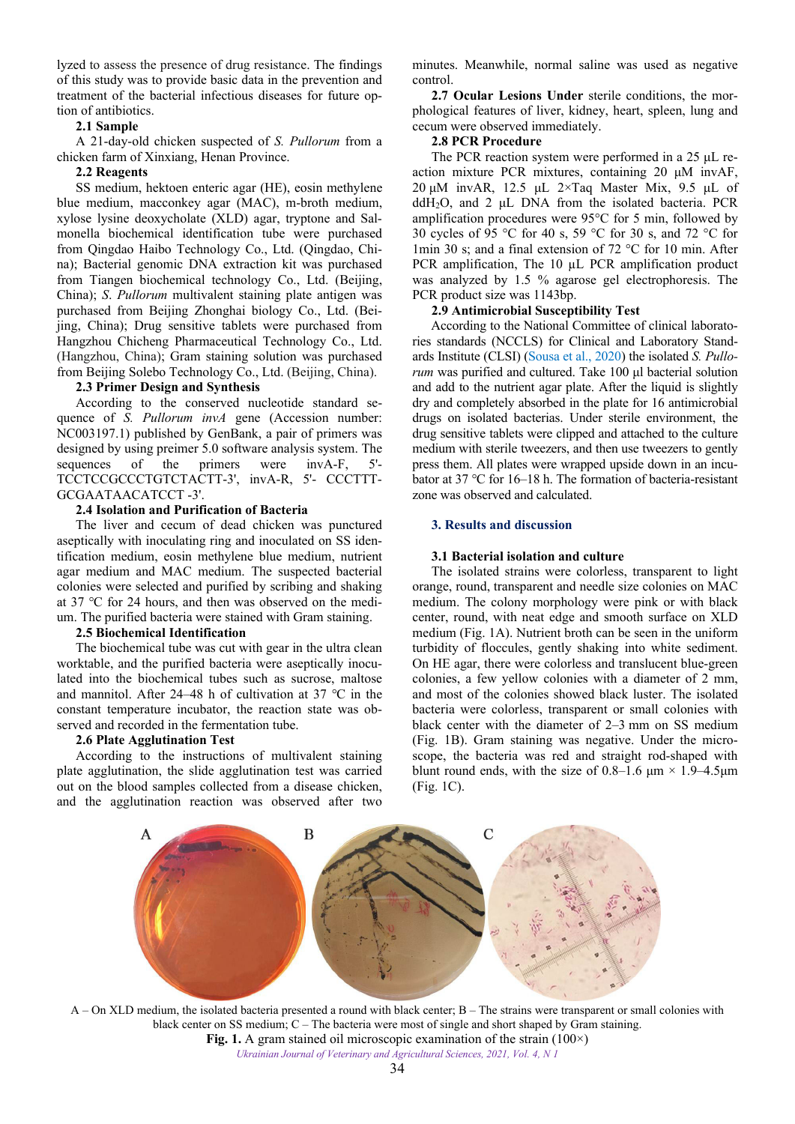<span id="page-1-0"></span>lyzed to assess the presence of drug resistance. The findings of this study was to provide basic data in the prevention and treatment of the bacterial infectious diseases for future option of antibiotics.

# **2.1 Sample**

A 21-day-old chicken suspected of *S. Pullorum* from a chicken farm of Xinxiang, Henan Province.

# **2.2 Reagents**

SS medium, hektoen enteric agar (HE), eosin methylene blue medium, macconkey agar (MAC), m-broth medium, xylose lysine deoxycholate (XLD) agar, tryptone and Salmonella biochemical identification tube were purchased from Qingdao Haibo Technology Co., Ltd. (Qingdao, China); Bacterial genomic DNA extraction kit was purchased from Tiangen biochemical technology Co., Ltd. (Beijing, China); *S*. *Pullorum* multivalent staining plate antigen was purchased from Beijing Zhonghai biology Co., Ltd. (Beijing, China); Drug sensitive tablets were purchased from Hangzhou Chicheng Pharmaceutical Technology Co., Ltd. (Hangzhou, China); Gram staining solution was purchased from Beijing Solebo Technology Co., Ltd. (Beijing, China).

# **2.3 Primer Design and Synthesis**

According to the conserved nucleotide standard sequence of *S. Pullorum invA* gene (Accession number: NC003197.1) published by GenBank, a pair of primers was designed by using preimer 5.0 software analysis system. The sequences of the primers were  $invA-F$ , TCCTCCGCCCTGTCTACTT-3', invA-R, 5'- CCCTTT-GCGAATAACATCCT -3'.

# **2.4 Isolation and Purification of Bacteria**

The liver and cecum of dead chicken was punctured aseptically with inoculating ring and inoculated on SS identification medium, eosin methylene blue medium, nutrient agar medium and MAC medium. The suspected bacterial colonies were selected and purified by scribing and shaking at 37 ℃ for 24 hours, and then was observed on the medium. The purified bacteria were stained with Gram staining.

#### **2.5 Biochemical Identification**

The biochemical tube was cut with gear in the ultra clean worktable, and the purified bacteria were aseptically inoculated into the biochemical tubes such as sucrose, maltose and mannitol. After 24–48 h of cultivation at 37 ℃ in the constant temperature incubator, the reaction state was observed and recorded in the fermentation tube.

#### **2.6 Plate Agglutination Test**

According to the instructions of multivalent staining plate agglutination, the slide agglutination test was carried out on the blood samples collected from a disease chicken, and the agglutination reaction was observed after two

minutes. Meanwhile, normal saline was used as negative control.

**2.7 Ocular Lesions Under** sterile conditions, the morphological features of liver, kidney, heart, spleen, lung and cecum were observed immediately.

#### **2.8 PCR Procedure**

The PCR reaction system were performed in a 25 μL reaction mixture PCR mixtures, containing 20 μM invAF, 20 μM invAR, 12.5 μL 2×Taq Master Mix, 9.5 μL of ddH2O, and 2 μL DNA from the isolated bacteria. PCR amplification procedures were 95°C for 5 min, followed by 30 cycles of 95 °C for 40 s, 59 °C for 30 s, and 72 °C for 1min 30 s; and a final extension of 72 °C for 10 min. After PCR amplification, The 10 µL PCR amplification product was analyzed by 1.5 % agarose gel electrophoresis. The PCR product size was 1143bp.

### **2.9 Antimicrobial Susceptibility Test**

According to the National Committee of clinical laboratories standards (NCCLS) for Clinical and Laboratory Standards Institute (CLSI) ([Sousa et al., 2020](#page-4-0)) the isolated *S. Pullorum* was purified and cultured. Take 100 μl bacterial solution and add to the nutrient agar plate. After the liquid is slightly dry and completely absorbed in the plate for 16 antimicrobial drugs on isolated bacterias. Under sterile environment, the drug sensitive tablets were clipped and attached to the culture medium with sterile tweezers, and then use tweezers to gently press them. All plates were wrapped upside down in an incubator at 37 ℃ for 16–18 h. The formation of bacteria-resistant zone was observed and calculated.

#### **3. Results and discussion**

# **3.1 Bacterial isolation and culture**

The isolated strains were colorless, transparent to light orange, round, transparent and needle size colonies on MAC medium. The colony morphology were pink or with black center, round, with neat edge and smooth surface on XLD medium (Fig. 1A). Nutrient broth can be seen in the uniform turbidity of floccules, gently shaking into white sediment. On HE agar, there were colorless and translucent blue-green colonies, a few yellow colonies with a diameter of 2 mm, and most of the colonies showed black luster. The isolated bacteria were colorless, transparent or small colonies with black center with the diameter of 2–3 mm on SS medium (Fig. 1B). Gram staining was negative. Under the microscope, the bacteria was red and straight rod-shaped with blunt round ends, with the size of 0.8–1.6  $\mu$ m × 1.9–4.5 $\mu$ m (Fig. 1C).



*Ukrainian Journal of Veterinary and Agricultural Sciences, 2021, Vol. 4, N 1*  A – On XLD medium, the isolated bacteria presented a round with black center; B – The strains were transparent or small colonies with black center on SS medium; C – The bacteria were most of single and short shaped by Gram staining. **Fig. 1.** A gram stained oil microscopic examination of the strain (100×)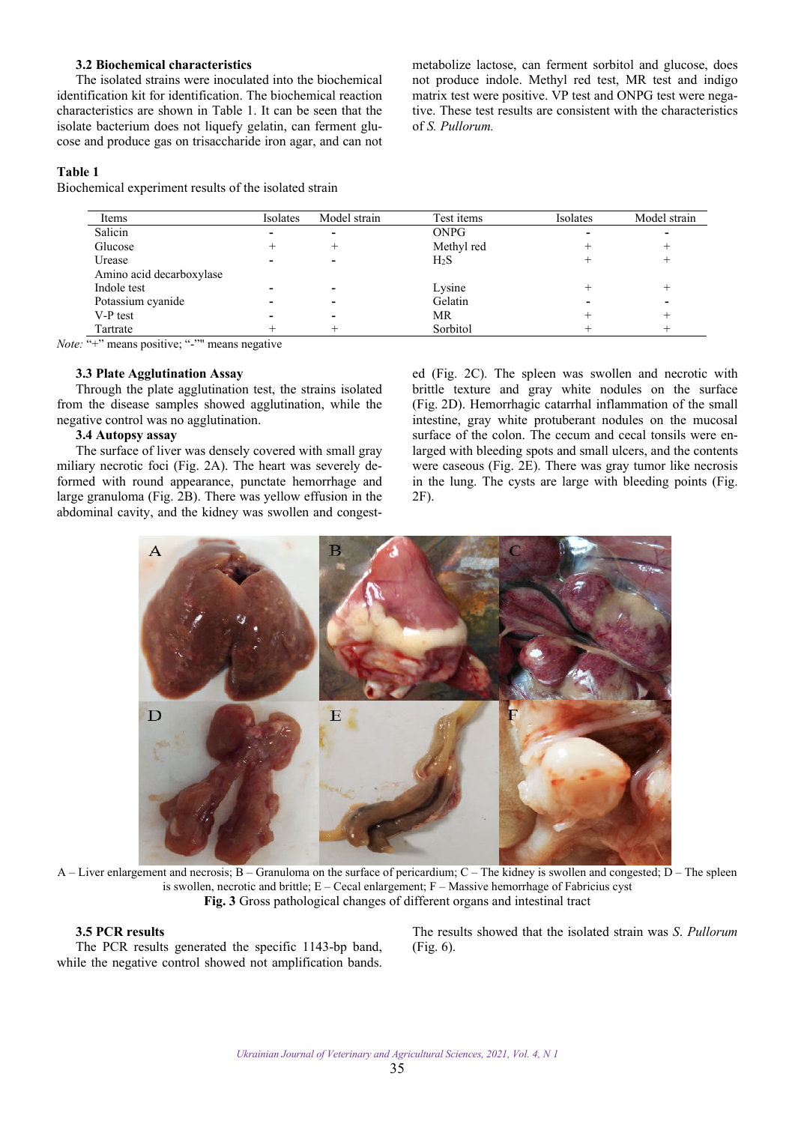# **3.2 Biochemical characteristics**

The isolated strains were inoculated into the biochemical identification kit for identification. The biochemical reaction characteristics are shown in Table 1. It can be seen that the isolate bacterium does not liquefy gelatin, can ferment glucose and produce gas on trisaccharide iron agar, and can not

metabolize lactose, can ferment sorbitol and glucose, does not produce indole. Methyl red test, MR test and indigo matrix test were positive. VP test and ONPG test were negative. These test results are consistent with the characteristics of *S. Pullorum.*

#### **Table 1**

Biochemical experiment results of the isolated strain

| Items                    | Isolates | Model strain | Test items       | Isolates | Model strain |
|--------------------------|----------|--------------|------------------|----------|--------------|
| Salicin                  |          |              | <b>ONPG</b>      |          |              |
| Glucose                  |          |              | Methyl red       |          |              |
| Urease                   |          |              | H <sub>2</sub> S |          |              |
| Amino acid decarboxylase |          |              |                  |          |              |
| Indole test              |          |              | Lysine           |          |              |
| Potassium cyanide        |          |              | Gelatin          |          |              |
| V-P test                 |          |              | MR               |          |              |
| Tartrate                 |          |              | Sorbitol         |          |              |

*Note:* "+" means positive; "-"" means negative

## **3.3 Plate Agglutination Assay**

Through the plate agglutination test, the strains isolated from the disease samples showed agglutination, while the negative control was no agglutination.

# **3.4 Autopsy assay**

The surface of liver was densely covered with small gray miliary necrotic foci (Fig. 2A). The heart was severely deformed with round appearance, punctate hemorrhage and large granuloma (Fig. 2B). There was yellow effusion in the abdominal cavity, and the kidney was swollen and congest-

ed (Fig. 2C). The spleen was swollen and necrotic with brittle texture and gray white nodules on the surface (Fig. 2D). Hemorrhagic catarrhal inflammation of the small intestine, gray white protuberant nodules on the mucosal surface of the colon. The cecum and cecal tonsils were enlarged with bleeding spots and small ulcers, and the contents were caseous (Fig. 2E). There was gray tumor like necrosis in the lung. The cysts are large with bleeding points (Fig. 2F).



A – Liver enlargement and necrosis; B – Granuloma on the surface of pericardium; C – The kidney is swollen and congested; D – The spleen is swollen, necrotic and brittle;  $E - C$ ecal enlargement;  $F -$ Massive hemorrhage of Fabricius cyst **Fig. 3** Gross pathological changes of different organs and intestinal tract

# **3.5 PCR results**

The PCR results generated the specific 1143-bp band, while the negative control showed not amplification bands.

The results showed that the isolated strain was *S*. *Pullorum* (Fig. 6).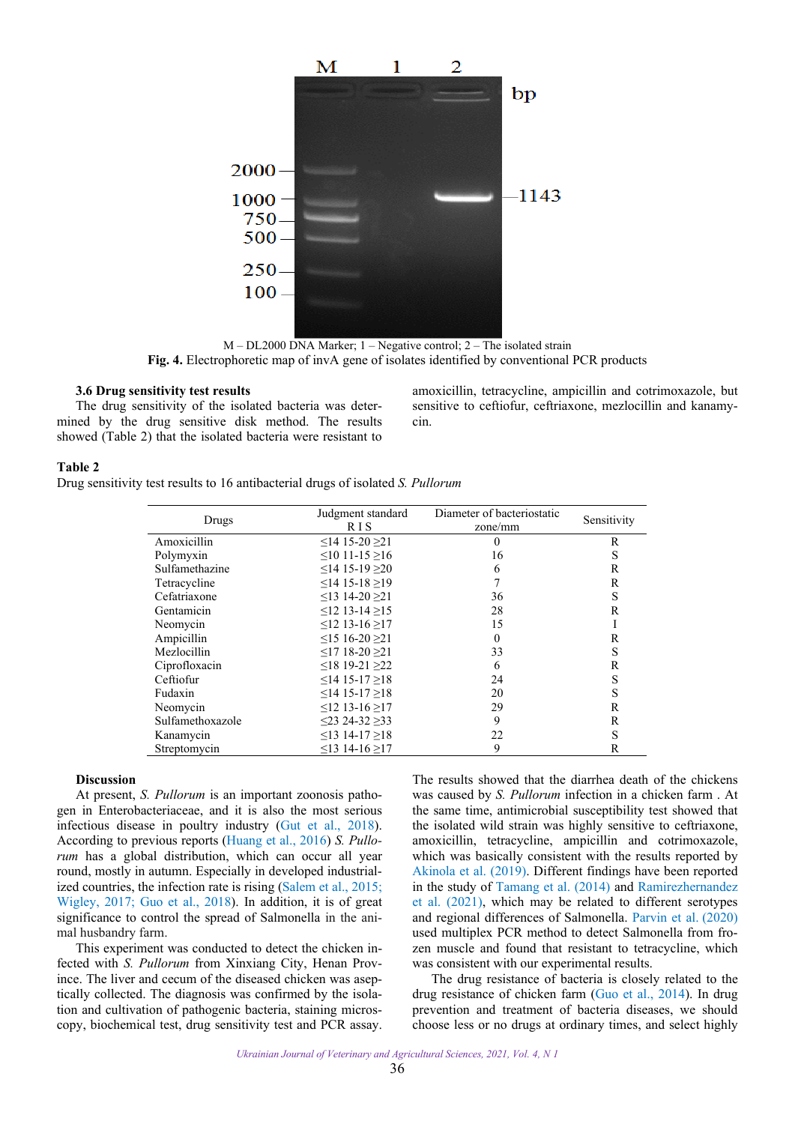

M – DL2000 DNA Marker; 1 – Negative control; 2 – The isolated strain **Fig. 4.** Electrophoretic map of invA gene of isolates identified by conventional PCR products

#### **3.6 Drug sensitivity test results**

The drug sensitivity of the isolated bacteria was determined by the drug sensitive disk method. The results showed (Table 2) that the isolated bacteria were resistant to

amoxicillin, tetracycline, ampicillin and cotrimoxazole, but sensitive to ceftiofur, ceftriaxone, mezlocillin and kanamycin.

#### **Table 2**

Drug sensitivity test results to 16 antibacterial drugs of isolated *S. Pullorum*

| Drugs            | Judgment standard<br>R I S | Diameter of bacteriostatic<br>zone/mm | Sensitivity |
|------------------|----------------------------|---------------------------------------|-------------|
| Amoxicillin      | ≤14 15-20 ≥21              | $\theta$                              | R           |
| Polymyxin        | $\leq$ 10 11-15 $\geq$ 16  | 16                                    | S           |
| Sulfamethazine   | $<$ 14 15-19 $>$ 20        | 6                                     | R           |
| Tetracycline     | $<$ 14 15-18 >19           | 7                                     | R           |
| Cefatriaxone     | $\leq$ 13 14-20 $\geq$ 21  | 36                                    | S           |
| Gentamicin       | $\leq$ 12 13-14 $>$ 15     | 28                                    | R           |
| Neomycin         | $≤12$ 13-16 ≥17            | 15                                    | I           |
| Ampicillin       | $\leq$ 15 16-20 $\geq$ 1   | $\Omega$                              | R           |
| Mezlocillin      | $\leq$ 17 18-20 $\geq$ 1   | 33                                    | S           |
| Ciprofloxacin    | $\leq$ 18 19-21 $\geq$ 22  | 6                                     | R           |
| Ceftiofur        | $\leq$ 14 15-17 $>$ 18     | 24                                    | S           |
| Fudaxin          | $\leq$ 14 15-17 $>$ 18     | 20                                    | S           |
| Neomycin         | $≤12$ 13-16 ≥17            | 29                                    | R           |
| Sulfamethoxazole | $\leq$ 23 24-32 $\geq$ 33  | 9                                     | R           |
| Kanamycin        | $\leq$ 13 14-17 $\geq$ 18  | 22                                    | S           |
| Streptomycin     | ≤13 14-16 ≥17              | 9                                     | R           |

#### **Discussion**

At present, *S. Pullorum* is an important zoonosis pathogen in Enterobacteriaceae, and it is also the most serious infectious disease in poultry industry [\(Gut et al., 2018\)](#page-4-0). According to previous reports ([Huang et al., 2016\)](#page-4-0) *S. Pullorum* has a global distribution, which can occur all year round, mostly in autumn. Especially in developed industrialized countries, the infection rate is rising ([Salem et al., 2015;](#page-4-0) [Wigley, 2017](#page-5-0); [Guo et al., 2018](#page-4-0)). In addition, it is of great significance to control the spread of Salmonella in the animal husbandry farm.

This experiment was conducted to detect the chicken infected with *S. Pullorum* from Xinxiang City, Henan Province. The liver and cecum of the diseased chicken was aseptically collected. The diagnosis was confirmed by the isolation and cultivation of pathogenic bacteria, staining microscopy, biochemical test, drug sensitivity test and PCR assay. The results showed that the diarrhea death of the chickens was caused by *S. Pullorum* infection in a chicken farm . At the same time, antimicrobial susceptibility test showed that the isolated wild strain was highly sensitive to ceftriaxone, amoxicillin, tetracycline, ampicillin and cotrimoxazole, which was basically consistent with the results reported by [Akinola et al. \(2019\)](#page-4-0). Different findings have been reported in the study of [Tamang et al. \(2014\)](#page-5-0) and [Ramirezhernandez](#page-4-0)  [et al. \(2021\)](#page-4-0), which may be related to different serotypes and regional differences of Salmonella. [Parvin et al.](#page-4-0) (2020) used multiplex PCR method to detect Salmonella from frozen muscle and found that resistant to tetracycline, which was consistent with our experimental results.

The drug resistance of bacteria is closely related to the drug resistance of chicken farm [\(Guo et al., 2014](#page-4-0)). In drug prevention and treatment of bacteria diseases, we should choose less or no drugs at ordinary times, and select highly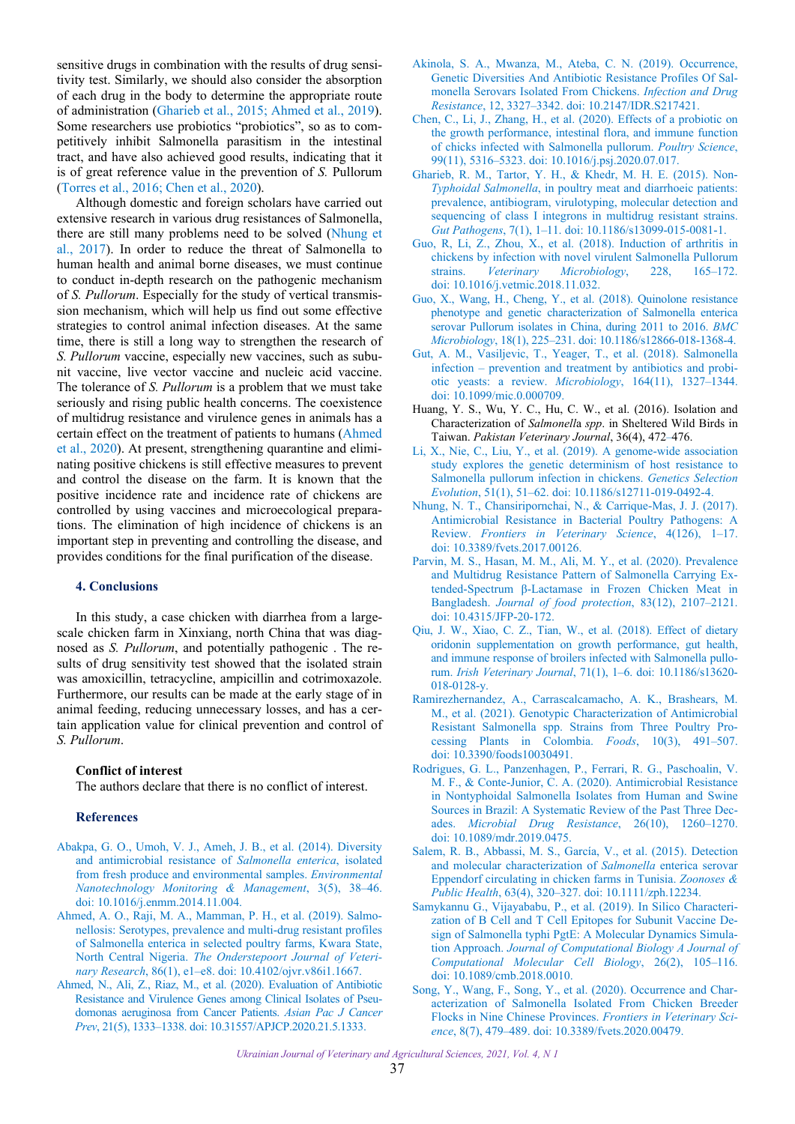<span id="page-4-0"></span>sensitive drugs in combination with the results of drug sensitivity test. Similarly, we should also consider the absorption of each drug in the body to determine the appropriate route of administration (Gharieb et al., 2015; Ahmed et al., 2019). Some researchers use probiotics "probiotics", so as to competitively inhibit Salmonella parasitism in the intestinal tract, and have also achieved good results, indicating that it is of great reference value in the prevention of *S.* Pullorum ([Torres et al., 2016](#page-5-0); Chen et al., 2020).

Although domestic and foreign scholars have carried out extensive research in various drug resistances of Salmonella, there are still many problems need to be solved (Nhung et al., 2017). In order to reduce the threat of Salmonella to human health and animal borne diseases, we must continue to conduct in-depth research on the pathogenic mechanism of *S. Pullorum*. Especially for the study of vertical transmission mechanism, which will help us find out some effective strategies to control animal infection diseases. At the same time, there is still a long way to strengthen the research of *S. Pullorum* vaccine, especially new vaccines, such as subunit vaccine, live vector vaccine and nucleic acid vaccine. The tolerance of *S. Pullorum* is a problem that we must take seriously and rising public health concerns. The coexistence of multidrug resistance and virulence genes in animals has a certain effect on the treatment of patients to humans (Ahmed et al., 2020). At present, strengthening quarantine and eliminating positive chickens is still effective measures to prevent and control the disease on the farm. It is known that the positive incidence rate and incidence rate of chickens are controlled by using vaccines and microecological preparations. The elimination of high incidence of chickens is an important step in preventing and controlling the disease, and provides conditions for the final purification of the disease.

#### **4. Conclusions**

In this study, a case chicken with diarrhea from a largescale chicken farm in Xinxiang, north China that was diagnosed as *S. Pullorum*, and potentially pathogenic . The results of drug sensitivity test showed that the isolated strain was amoxicillin, tetracycline, ampicillin and cotrimoxazole. Furthermore, our results can be made at the early stage of in animal feeding, reducing unnecessary losses, and has a certain application value for clinical prevention and control of *S. Pullorum*.

#### **Conflict of interest**

The authors declare that there is no conflict of interest.

#### **References**

- [Abakpa, G. O., Umoh, V. J., Ameh, J. B., et al. \(2014\). Diversity](https://doi.org/10.1016/j.enmm.2014.11.004) and antimicrobial resistance of *Salmonella enterica*, isolated from fresh produce and environmental samples. *Environmental Nanotechnology Monitoring & Management*, 3(5), 38–46. doi: 10.1016/j.enmm.2014.11.004.
- [Ahmed, A. O., Raji, M. A., Mamman, P. H., et al. \(2019\). Salmo](https://doi.org/10.4102/ojvr.v86i1.1667)nellosis: Serotypes, prevalence and multi-drug resistant profiles of Salmonella enterica in selected poultry farms, Kwara State, North Central Nigeria. *The Onderstepoort Journal of Veterinary Research*, 86(1), e1–e8. doi: 10.4102/ojvr.v86i1.1667.
- [Ahmed, N., Ali, Z., Riaz, M., et al. \(2020\). Evaluation of Antibiotic](https://doi.org/10.31557/APJCP.2020.21.5.1333)  Resistance and Virulence Genes among Clinical Isolates of Pseudomonas aeruginosa from Cancer Patients. *Asian Pac J Cancer Prev*, 21(5), 1333–1338. doi: 10.31557/APJCP.2020.21.5.1333.
- [Akinola, S. A., Mwanza, M., Ateba, C. N. \(2019\). Occurrence,](https://doi.org/10.2147/IDR.S217421)  Genetic Diversities And Antibiotic Resistance Profiles Of Salmonella Serovars Isolated From Chickens. *Infection and Drug Resistance*, 12, 3327–3342. doi: 10.2147/IDR.S217421.
- [Chen, C., Li, J., Zhang, H., et al. \(2020\). Effects of a probiotic on](https://doi.org/10.1016/j.psj.2020.07.017)  the growth performance, intestinal flora, and immune function of chicks infected with Salmonella pullorum. *Poultry Science*, 99(11), 5316–5323. doi: 10.1016/j.psj.2020.07.017.
- [Gharieb, R. M., Tartor, Y. H., & Khedr, M. H. E. \(2015\). Non-](https://doi.org/10.1186/s13099-015-0081-1)*Typhoidal Salmonella*, in poultry meat and diarrhoeic patients: prevalence, antibiogram, virulotyping, molecular detection and sequencing of class I integrons in multidrug resistant strains. *Gut Pathogens*, 7(1), 1–11. doi: 10.1186/s13099-015-0081-1.
- [Guo, R, Li, Z., Zhou, X., et al. \(2018\). Induction of arthritis in](https://doi.org/10.1016/j.vetmic.2018.11.032)  chickens by infection with novel virulent Salmonella Pullorum strains. *Veterinary Microbiology*, 228, 165–172. doi: 10.1016/j.vetmic.2018.11.032.
- [Guo, X., Wang, H., Cheng, Y., et al. \(2018\). Quinolone resistance](https://doi.org/10.1186/s12866-018-1368-4)  phenotype and genetic characterization of Salmonella enterica serovar Pullorum isolates in China, during 2011 to 2016. *BMC Microbiology*, 18(1), 225–231. doi: 10.1186/s12866-018-1368-4.
- [Gut, A. M., Vasiljevic, T., Yeager, T., et al. \(2018\). Salmonella](https://doi.org/10.1099/mic.0.000709)  infection – prevention and treatment by antibiotics and probiotic yeasts: a review. *Microbiology*, 164(11), 1327–1344. doi: 10.1099/mic.0.000709.
- Huang, Y. S., Wu, Y. C., Hu, C. W., et al. (2016). Isolation and Characterization of *Salmonell*a *spp*. in Sheltered Wild Birds in Taiwan. *Pakistan Veterinary Journal*, 36(4), 472–476.
- [Li, X., Nie, C., Liu, Y., et al. \(2019\). A genome-wide association](https://doi.org/10.1186/s12711-019-0492-4)  study explores the genetic determinism of host resistance to Salmonella pullorum infection in chickens. *Genetics Selection Evolution*, 51(1), 51–62. doi: 10.1186/s12711-019-0492-4.
- [Nhung, N. T., Chansiripornchai, N., & Carrique-Mas, J. J. \(2017\).](https://doi.org/10.3389/fvets.2017.00126)  Antimicrobial Resistance in Bacterial Poultry Pathogens: A Review. *Frontiers in Veterinary Science*, 4(126), 1–17. doi: 10.3389/fvets.2017.00126.
- [Parvin, M. S., Hasan, M. M., Ali, M. Y., et al. \(2020\). Prevalence](https://doi.org/10.4315/JFP-20-172)  and Multidrug Resistance Pattern of Salmonella Carrying Extended-Spectrum β-Lactamase in Frozen Chicken Meat in Bangladesh. *Journal of food protection*, 83(12), 2107–2121. doi: 10.4315/JFP-20-172.
- [Qiu, J. W., Xiao, C. Z., Tian, W., et al. \(2018\). Effect of dietary](https://doi.org/10.1186/s13620-018-0128-y)  oridonin supplementation on growth performance, gut health, and immune response of broilers infected with Salmonella pullorum. *Irish Veterinary Journal*, 71(1), 1–6. doi: 10.1186/s13620- 018-0128-y.
- [Ramirezhernandez, A., Carrascalcamacho, A. K., Brashears, M.](https://doi.org/10.3390/foods10030491)  M., et al. (2021). Genotypic Characterization of Antimicrobial Resistant Salmonella spp. Strains from Three Poultry Processing Plants in Colombia. *Foods*, 10(3), 491–507. doi: 10.3390/foods10030491.
- [Rodrigues, G. L., Panzenhagen, P., Ferrari, R. G., Paschoalin, V.](https://doi.org/10.1089/mdr.2019.0475)  M. F., & Conte-Junior, C. A. (2020). Antimicrobial Resistance in Nontyphoidal Salmonella Isolates from Human and Swine Sources in Brazil: A Systematic Review of the Past Three Decades. *Microbial Drug Resistance*, 26(10), 1260–1270. doi: 10.1089/mdr.2019.0475.
- [Salem, R. B., Abbassi, M. S., García, V., et al. \(2015\). Detection](https://doi.org/10.1111/zph.12234)  and molecular characterization of *Salmonella* enterica serovar Eppendorf circulating in chicken farms in Tunisia. *Zoonoses & Public Health*, 63(4), 320–327. doi: 10.1111/zph.12234.
- [Samykannu G., Vijayababu, P., et al. \(2019\). In Silico Characteri](https://doi.org/10.1089/cmb.2018.0010)zation of B Cell and T Cell Epitopes for Subunit Vaccine Design of Salmonella typhi PgtE: A Molecular Dynamics Simulation Approach. *Journal of Computational Biology A Journal of Computational Molecular Cell Biology*, 26(2), 105–116. doi: 10.1089/cmb.2018.0010.
- [Song, Y., Wang, F., Song, Y., et al. \(2020\). Occurrence and Char](https://doi.org/10.3389/fvets.2020.00479)acterization of Salmonella Isolated From Chicken Breeder Flocks in Nine Chinese Provinces. *Frontiers in Veterinary Science*, 8(7), 479–489. doi: 10.3389/fvets.2020.00479.

*Ukrainian Journal of Veterinary and Agricultural Sciences, 2021, Vol. 4, N 1*